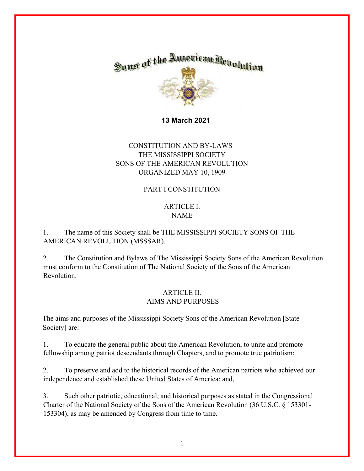

 **13 March 2021** 

# CONSTITUTION AND BY-LAWS THE MISSISSIPPI SOCIETY SONS OF THE AMERICAN REVOLUTION ORGANIZED MAY 10, 1909

### PART I CONSTITUTION

## ARTICLE I. NAME

## 1. The name of this Society shall be THE MISSISSIPPI SOCIETY SONS OF THE AMERICAN REVOLUTION (MSSSAR).

2. The Constitution and Bylaws of The Mississippi Society Sons of the American Revolution must conform to the Constitution of The National Society of the Sons of the American Revolution.

### ARTICLE II. AIMS AND PURPOSES

The aims and purposes of the Mississippi Society Sons of the American Revolution [State Society] are:

1. To educate the general public about the American Revolution, to unite and promote fellowship among patriot descendants through Chapters, and to promote true patriotism;

2. To preserve and add to the historical records of the American patriots who achieved our independence and established these United States of America; and,

3. Such other patriotic, educational, and historical purposes as stated in the Congressional Charter of the National Society of the Sons of the American Revolution (36 U.S.C. § 153301- 153304), as may be amended by Congress from time to time.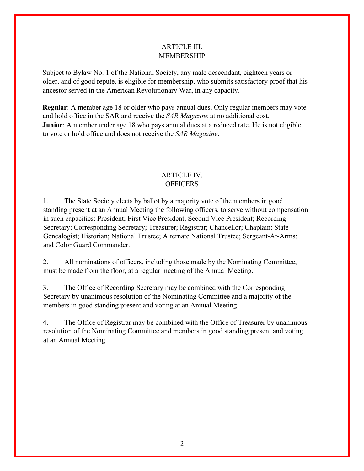### ARTICLE III. MEMBERSHIP

Subject to Bylaw No. 1 of the National Society, any male descendant, eighteen years or older, and of good repute, is eligible for membership, who submits satisfactory proof that his ancestor served in the American Revolutionary War, in any capacity.

**Regular**: A member age 18 or older who pays annual dues. Only regular members may vote and hold office in the SAR and receive the *SAR Magazine* at no additional cost. **Junior**: A member under age 18 who pays annual dues at a reduced rate. He is not eligible to vote or hold office and does not receive the *SAR Magazine*.

## ARTICLE IV. **OFFICERS**

1. The State Society elects by ballot by a majority vote of the members in good standing present at an Annual Meeting the following officers, to serve without compensation in such capacities: President; First Vice President; Second Vice President; Recording Secretary; Corresponding Secretary; Treasurer; Registrar; Chancellor; Chaplain; State Genealogist; Historian; National Trustee; Alternate National Trustee; Sergeant-At-Arms; and Color Guard Commander.

2. All nominations of officers, including those made by the Nominating Committee, must be made from the floor, at a regular meeting of the Annual Meeting.

3. The Office of Recording Secretary may be combined with the Corresponding Secretary by unanimous resolution of the Nominating Committee and a majority of the members in good standing present and voting at an Annual Meeting.

4. The Office of Registrar may be combined with the Office of Treasurer by unanimous resolution of the Nominating Committee and members in good standing present and voting at an Annual Meeting.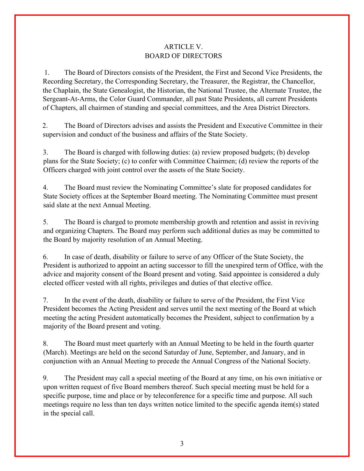### ARTICLE V. BOARD OF DIRECTORS

1. The Board of Directors consists of the President, the First and Second Vice Presidents, the Recording Secretary, the Corresponding Secretary, the Treasurer, the Registrar, the Chancellor, the Chaplain, the State Genealogist, the Historian, the National Trustee, the Alternate Trustee, the Sergeant-At-Arms, the Color Guard Commander, all past State Presidents, all current Presidents of Chapters, all chairmen of standing and special committees, and the Area District Directors.

2. The Board of Directors advises and assists the President and Executive Committee in their supervision and conduct of the business and affairs of the State Society.

3. The Board is charged with following duties: (a) review proposed budgets; (b) develop plans for the State Society; (c) to confer with Committee Chairmen; (d) review the reports of the Officers charged with joint control over the assets of the State Society.

4. The Board must review the Nominating Committee's slate for proposed candidates for State Society offices at the September Board meeting. The Nominating Committee must present said slate at the next Annual Meeting.

5. The Board is charged to promote membership growth and retention and assist in reviving and organizing Chapters. The Board may perform such additional duties as may be committed to the Board by majority resolution of an Annual Meeting.

6. In case of death, disability or failure to serve of any Officer of the State Society, the President is authorized to appoint an acting successor to fill the unexpired term of Office, with the advice and majority consent of the Board present and voting. Said appointee is considered a duly elected officer vested with all rights, privileges and duties of that elective office.

7. In the event of the death, disability or failure to serve of the President, the First Vice President becomes the Acting President and serves until the next meeting of the Board at which meeting the acting President automatically becomes the President, subject to confirmation by a majority of the Board present and voting.

8. The Board must meet quarterly with an Annual Meeting to be held in the fourth quarter (March). Meetings are held on the second Saturday of June, September, and January, and in conjunction with an Annual Meeting to precede the Annual Congress of the National Society.

9. The President may call a special meeting of the Board at any time, on his own initiative or upon written request of five Board members thereof. Such special meeting must be held for a specific purpose, time and place or by teleconference for a specific time and purpose. All such meetings require no less than ten days written notice limited to the specific agenda item(s) stated in the special call.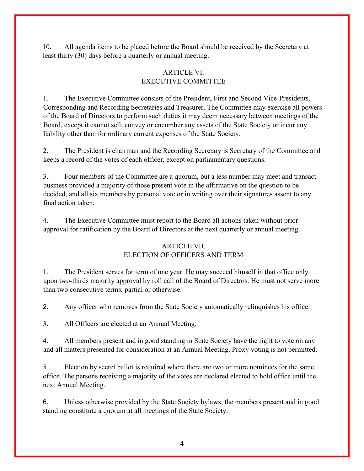10. All agenda items to be placed before the Board should be received by the Secretary at least thirty (30) days before a quarterly or annual meeting.

## ARTICLE VI. EXECUTIVE COMMITTEE

1. The Executive Committee consists of the President, First and Second Vice-Presidents, Corresponding and Recording Secretaries and Treasurer. The Committee may exercise all powers of the Board of Directors to perform such duties it may deem necessary between meetings of the Board, except it cannot sell, convey or encumber any assets of the State Society or incur any liability other than for ordinary current expenses of the State Society.

2. The President is chairman and the Recording Secretary is Secretary of the Committee and keeps a record of the votes of each officer, except on parliamentary questions.

3. Four members of the Committee are a quorum, but a less number may meet and transact business provided a majority of those present vote in the affirmative on the question to be decided, and all six members by personal vote or in writing over their signatures assent to any final action taken.

4. The Executive Committee must report to the Board all actions taken without prior approval for ratification by the Board of Directors at the next quarterly or annual meeting.

## ARTICLE VII. ELECTION OF OFFICERS AND TERM

1. The President serves for term of one year. He may succeed himself in that office only upon two-thirds majority approval by roll call of the Board of Directors. He must not serve more than two consecutive terms, partial or otherwise.

2. Any officer who removes from the State Society automatically relinquishes his office.

3. All Officers are elected at an Annual Meeting.

4. All members present and in good standing in State Society have the right to vote on any and all matters presented for consideration at an Annual Meeting. Proxy voting is not permitted.

5. Election by secret ballot is required where there are two or more nominees for the same office. The persons receiving a majority of the votes are declared elected to hold office until the next Annual Meeting.

6. Unless otherwise provided by the State Society bylaws, the members present and in good standing constitute a quorum at all meetings of the State Society.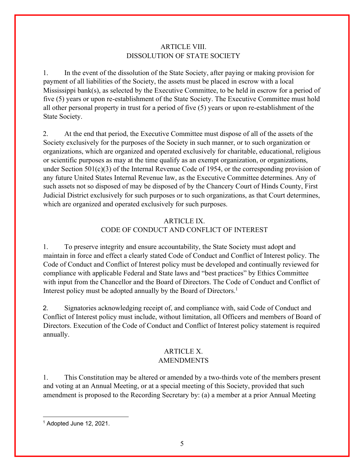### ARTICLE VIII. DISSOLUTION OF STATE SOCIETY

1. In the event of the dissolution of the State Society, after paying or making provision for payment of all liabilities of the Society, the assets must be placed in escrow with a local Mississippi bank(s), as selected by the Executive Committee, to be held in escrow for a period of five (5) years or upon re-establishment of the State Society. The Executive Committee must hold all other personal property in trust for a period of five (5) years or upon re-establishment of the State Society.

2. At the end that period, the Executive Committee must dispose of all of the assets of the Society exclusively for the purposes of the Society in such manner, or to such organization or organizations, which are organized and operated exclusively for charitable, educational, religious or scientific purposes as may at the time qualify as an exempt organization, or organizations, under Section 501(c)(3) of the Internal Revenue Code of 1954, or the corresponding provision of any future United States Internal Revenue law, as the Executive Committee determines. Any of such assets not so disposed of may be disposed of by the Chancery Court of Hinds County, First Judicial District exclusively for such purposes or to such organizations, as that Court determines, which are organized and operated exclusively for such purposes.

# ARTICLE IX. CODE OF CONDUCT AND CONFLICT OF INTEREST

1. To preserve integrity and ensure accountability, the State Society must adopt and maintain in force and effect a clearly stated Code of Conduct and Conflict of Interest policy. The Code of Conduct and Conflict of Interest policy must be developed and continually reviewed for compliance with applicable Federal and State laws and "best practices" by Ethics Committee with input from the Chancellor and the Board of Directors. The Code of Conduct and Conflict of Interest policy must be adopted annually by the Board of Directors.<sup>1</sup>

2. Signatories acknowledging receipt of, and compliance with, said Code of Conduct and Conflict of Interest policy must include, without limitation, all Officers and members of Board of Directors. Execution of the Code of Conduct and Conflict of Interest policy statement is required annually.

## ARTICLE X. AMENDMENTS

1. This Constitution may be altered or amended by a two-thirds vote of the members present and voting at an Annual Meeting, or at a special meeting of this Society, provided that such amendment is proposed to the Recording Secretary by: (a) a member at a prior Annual Meeting

<sup>1</sup> Adopted June 12, 2021.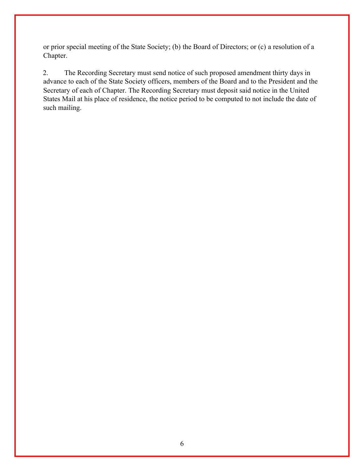or prior special meeting of the State Society; (b) the Board of Directors; or (c) a resolution of a Chapter.

2. The Recording Secretary must send notice of such proposed amendment thirty days in advance to each of the State Society officers, members of the Board and to the President and the Secretary of each of Chapter. The Recording Secretary must deposit said notice in the United States Mail at his place of residence, the notice period to be computed to not include the date of such mailing.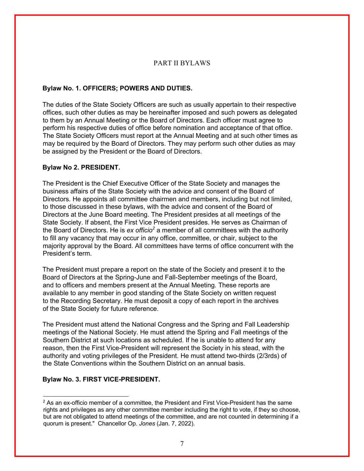#### PART II BYLAWS

#### **Bylaw No. 1. OFFICERS; POWERS AND DUTIES.**

The duties of the State Society Officers are such as usually appertain to their respective offices, such other duties as may be hereinafter imposed and such powers as delegated to them by an Annual Meeting or the Board of Directors. Each officer must agree to perform his respective duties of office before nomination and acceptance of that office. The State Society Officers must report at the Annual Meeting and at such other times as may be required by the Board of Directors. They may perform such other duties as may be assigned by the President or the Board of Directors.

#### **Bylaw No 2. PRESIDENT.**

The President is the Chief Executive Officer of the State Society and manages the business affairs of the State Society with the advice and consent of the Board of Directors. He appoints all committee chairmen and members, including but not limited, to those discussed in these bylaws, with the advice and consent of the Board of Directors at the June Board meeting. The President presides at all meetings of the State Society. If absent, the First Vice President presides. He serves as Chairman of the Board of Directors. He is *ex officio*<sup>2</sup> a member of all committees with the authority to fill any vacancy that may occur in any office, committee, or chair, subject to the majority approval by the Board. All committees have terms of office concurrent with the President's term.

The President must prepare a report on the state of the Society and present it to the Board of Directors at the Spring-June and Fall-September meetings of the Board, and to officers and members present at the Annual Meeting. These reports are available to any member in good standing of the State Society on written request to the Recording Secretary. He must deposit a copy of each report in the archives of the State Society for future reference.

The President must attend the National Congress and the Spring and Fall Leadership meetings of the National Society. He must attend the Spring and Fall meetings of the Southern District at such locations as scheduled. If he is unable to attend for any reason, then the First Vice-President will represent the Society in his stead, with the authority and voting privileges of the President. He must attend two-thirds (2/3rds) of the State Conventions within the Southern District on an annual basis.

#### **Bylaw No. 3. FIRST VICE-PRESIDENT.**

 $<sup>2</sup>$  As an ex-officio member of a committee, the President and First Vice-President has the same</sup> rights and privileges as any other committee member including the right to vote, if they so choose, but are not obligated to attend meetings of the committee, and are not counted in determining if a quorum is present." Chancellor Op. *Jones* (Jan. 7, 2022).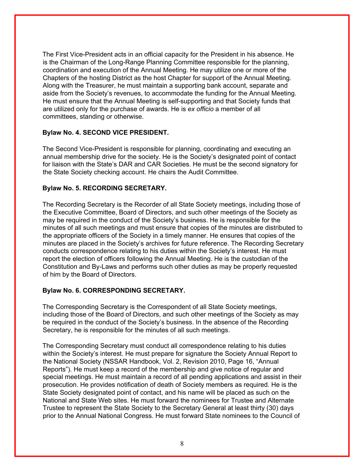The First Vice-President acts in an official capacity for the President in his absence. He is the Chairman of the Long-Range Planning Committee responsible for the planning, coordination and execution of the Annual Meeting. He may utilize one or more of the Chapters of the hosting District as the host Chapter for support of the Annual Meeting. Along with the Treasurer, he must maintain a supporting bank account, separate and aside from the Society's revenues, to accommodate the funding for the Annual Meeting. He must ensure that the Annual Meeting is self-supporting and that Society funds that are utilized only for the purchase of awards. He is *ex officio* a member of all committees, standing or otherwise.

#### **Bylaw No. 4. SECOND VICE PRESIDENT.**

The Second Vice-President is responsible for planning, coordinating and executing an annual membership drive for the society. He is the Society's designated point of contact for liaison with the State's DAR and CAR Societies. He must be the second signatory for the State Society checking account. He chairs the Audit Committee.

#### **Bylaw No. 5. RECORDING SECRETARY.**

The Recording Secretary is the Recorder of all State Society meetings, including those of the Executive Committee, Board of Directors, and such other meetings of the Society as may be required in the conduct of the Society's business. He is responsible for the minutes of all such meetings and must ensure that copies of the minutes are distributed to the appropriate officers of the Society in a timely manner. He ensures that copies of the minutes are placed in the Society's archives for future reference. The Recording Secretary conducts correspondence relating to his duties within the Society's interest. He must report the election of officers following the Annual Meeting. He is the custodian of the Constitution and By-Laws and performs such other duties as may be properly requested of him by the Board of Directors.

### **Bylaw No. 6. CORRESPONDING SECRETARY.**

The Corresponding Secretary is the Correspondent of all State Society meetings, including those of the Board of Directors, and such other meetings of the Society as may be required in the conduct of the Society's business. In the absence of the Recording Secretary, he is responsible for the minutes of all such meetings.

The Corresponding Secretary must conduct all correspondence relating to his duties within the Society's interest. He must prepare for signature the Society Annual Report to the National Society (NSSAR Handbook, Vol. 2, Revision 2010, Page 16, "Annual Reports"). He must keep a record of the membership and give notice of regular and special meetings. He must maintain a record of all pending applications and assist in their prosecution. He provides notification of death of Society members as required. He is the State Society designated point of contact, and his name will be placed as such on the National and State Web sites. He must forward the nominees for Trustee and Alternate Trustee to represent the State Society to the Secretary General at least thirty (30) days prior to the Annual National Congress. He must forward State nominees to the Council of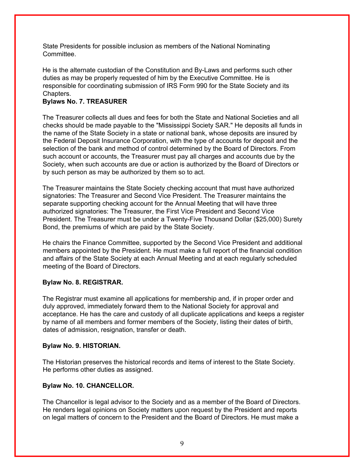State Presidents for possible inclusion as members of the National Nominating **Committee.** 

He is the alternate custodian of the Constitution and By-Laws and performs such other duties as may be properly requested of him by the Executive Committee. He is responsible for coordinating submission of IRS Form 990 for the State Society and its Chapters.

### **Bylaws No. 7. TREASURER**

The Treasurer collects all dues and fees for both the State and National Societies and all checks should be made payable to the "Mississippi Society SAR." He deposits all funds in the name of the State Society in a state or national bank, whose deposits are insured by the Federal Deposit Insurance Corporation, with the type of accounts for deposit and the selection of the bank and method of control determined by the Board of Directors. From such account or accounts, the Treasurer must pay all charges and accounts due by the Society, when such accounts are due or action is authorized by the Board of Directors or by such person as may be authorized by them so to act.

The Treasurer maintains the State Society checking account that must have authorized signatories: The Treasurer and Second Vice President. The Treasurer maintains the separate supporting checking account for the Annual Meeting that will have three authorized signatories: The Treasurer, the First Vice President and Second Vice President. The Treasurer must be under a Twenty-Five Thousand Dollar (\$25,000) Surety Bond, the premiums of which are paid by the State Society.

He chairs the Finance Committee, supported by the Second Vice President and additional members appointed by the President. He must make a full report of the financial condition and affairs of the State Society at each Annual Meeting and at each regularly scheduled meeting of the Board of Directors.

### **Bylaw No. 8. REGISTRAR.**

The Registrar must examine all applications for membership and, if in proper order and duly approved, immediately forward them to the National Society for approval and acceptance. He has the care and custody of all duplicate applications and keeps a register by name of all members and former members of the Society, listing their dates of birth, dates of admission, resignation, transfer or death.

### **Bylaw No. 9. HISTORIAN.**

The Historian preserves the historical records and items of interest to the State Society. He performs other duties as assigned.

### **Bylaw No. 10. CHANCELLOR.**

The Chancellor is legal advisor to the Society and as a member of the Board of Directors. He renders legal opinions on Society matters upon request by the President and reports on legal matters of concern to the President and the Board of Directors. He must make a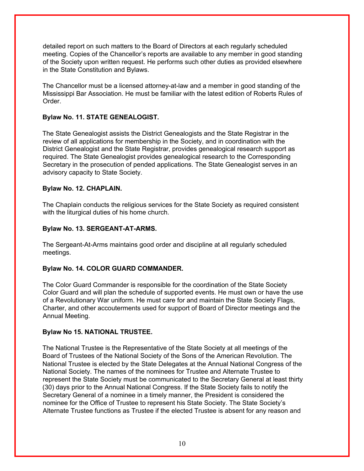detailed report on such matters to the Board of Directors at each regularly scheduled meeting. Copies of the Chancellor's reports are available to any member in good standing of the Society upon written request. He performs such other duties as provided elsewhere in the State Constitution and Bylaws.

The Chancellor must be a licensed attorney-at-law and a member in good standing of the Mississippi Bar Association. He must be familiar with the latest edition of Roberts Rules of Order.

### **Bylaw No. 11. STATE GENEALOGIST.**

The State Genealogist assists the District Genealogists and the State Registrar in the review of all applications for membership in the Society, and in coordination with the District Genealogist and the State Registrar, provides genealogical research support as required. The State Genealogist provides genealogical research to the Corresponding Secretary in the prosecution of pended applications. The State Genealogist serves in an advisory capacity to State Society.

### **Bylaw No. 12. CHAPLAIN.**

The Chaplain conducts the religious services for the State Society as required consistent with the liturgical duties of his home church.

### **Bylaw No. 13. SERGEANT-AT-ARMS.**

The Sergeant-At-Arms maintains good order and discipline at all regularly scheduled meetings.

### **Bylaw No. 14. COLOR GUARD COMMANDER.**

The Color Guard Commander is responsible for the coordination of the State Society Color Guard and will plan the schedule of supported events. He must own or have the use of a Revolutionary War uniform. He must care for and maintain the State Society Flags, Charter, and other accouterments used for support of Board of Director meetings and the Annual Meeting.

### **Bylaw No 15. NATIONAL TRUSTEE.**

The National Trustee is the Representative of the State Society at all meetings of the Board of Trustees of the National Society of the Sons of the American Revolution. The National Trustee is elected by the State Delegates at the Annual National Congress of the National Society. The names of the nominees for Trustee and Alternate Trustee to represent the State Society must be communicated to the Secretary General at least thirty (30) days prior to the Annual National Congress. If the State Society fails to notify the Secretary General of a nominee in a timely manner, the President is considered the nominee for the Office of Trustee to represent his State Society. The State Society's Alternate Trustee functions as Trustee if the elected Trustee is absent for any reason and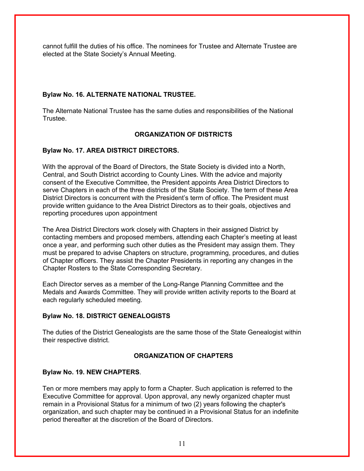cannot fulfill the duties of his office. The nominees for Trustee and Alternate Trustee are elected at the State Society's Annual Meeting.

### **Bylaw No. 16. ALTERNATE NATIONAL TRUSTEE.**

The Alternate National Trustee has the same duties and responsibilities of the National Trustee.

### **ORGANIZATION OF DISTRICTS**

### **Bylaw No. 17. AREA DISTRICT DIRECTORS.**

With the approval of the Board of Directors, the State Society is divided into a North, Central, and South District according to County Lines. With the advice and majority consent of the Executive Committee, the President appoints Area District Directors to serve Chapters in each of the three districts of the State Society. The term of these Area District Directors is concurrent with the President's term of office. The President must provide written guidance to the Area District Directors as to their goals, objectives and reporting procedures upon appointment

The Area District Directors work closely with Chapters in their assigned District by contacting members and proposed members, attending each Chapter's meeting at least once a year, and performing such other duties as the President may assign them. They must be prepared to advise Chapters on structure, programming, procedures, and duties of Chapter officers. They assist the Chapter Presidents in reporting any changes in the Chapter Rosters to the State Corresponding Secretary.

Each Director serves as a member of the Long-Range Planning Committee and the Medals and Awards Committee. They will provide written activity reports to the Board at each regularly scheduled meeting.

### **Bylaw No. 18. DISTRICT GENEALOGISTS**

The duties of the District Genealogists are the same those of the State Genealogist within their respective district.

### **ORGANIZATION OF CHAPTERS**

### **Bylaw No. 19. NEW CHAPTERS**.

Ten or more members may apply to form a Chapter. Such application is referred to the Executive Committee for approval. Upon approval, any newly organized chapter must remain in a Provisional Status for a minimum of two (2) years following the chapter's organization, and such chapter may be continued in a Provisional Status for an indefinite period thereafter at the discretion of the Board of Directors.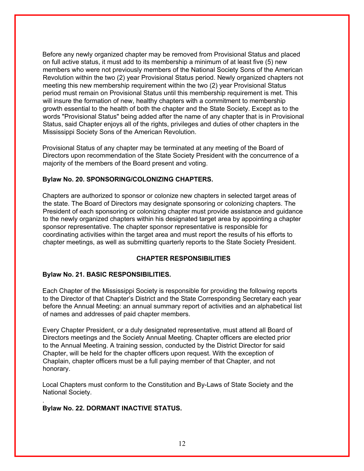Before any newly organized chapter may be removed from Provisional Status and placed on full active status, it must add to its membership a minimum of at least five (5) new members who were not previously members of the National Society Sons of the American Revolution within the two (2) year Provisional Status period. Newly organized chapters not meeting this new membership requirement within the two (2) year Provisional Status period must remain on Provisional Status until this membership requirement is met. This will insure the formation of new, healthy chapters with a commitment to membership growth essential to the health of both the chapter and the State Society. Except as to the words "Provisional Status" being added after the name of any chapter that is in Provisional Status, said Chapter enjoys all of the rights, privileges and duties of other chapters in the Mississippi Society Sons of the American Revolution.

Provisional Status of any chapter may be terminated at any meeting of the Board of Directors upon recommendation of the State Society President with the concurrence of a majority of the members of the Board present and voting.

#### **Bylaw No. 20. SPONSORING/COLONIZING CHAPTERS.**

Chapters are authorized to sponsor or colonize new chapters in selected target areas of the state. The Board of Directors may designate sponsoring or colonizing chapters. The President of each sponsoring or colonizing chapter must provide assistance and guidance to the newly organized chapters within his designated target area by appointing a chapter sponsor representative. The chapter sponsor representative is responsible for coordinating activities within the target area and must report the results of his efforts to chapter meetings, as well as submitting quarterly reports to the State Society President.

### **CHAPTER RESPONSIBILITIES**

### **Bylaw No. 21. BASIC RESPONSIBILITIES.**

Each Chapter of the Mississippi Society is responsible for providing the following reports to the Director of that Chapter's District and the State Corresponding Secretary each year before the Annual Meeting: an annual summary report of activities and an alphabetical list of names and addresses of paid chapter members.

Every Chapter President, or a duly designated representative, must attend all Board of Directors meetings and the Society Annual Meeting. Chapter officers are elected prior to the Annual Meeting. A training session, conducted by the District Director for said Chapter, will be held for the chapter officers upon request. With the exception of Chaplain, chapter officers must be a full paying member of that Chapter, and not honorary.

Local Chapters must conform to the Constitution and By-Laws of State Society and the National Society.

### **Bylaw No. 22. DORMANT INACTIVE STATUS.**

.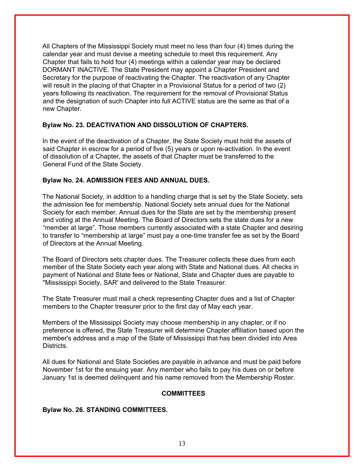All Chapters of the Mississippi Society must meet no less than four (4) times during the calendar year and must devise a meeting schedule to meet this requirement. Any Chapter that fails to hold four (4) meetings within a calendar year may be declared DORMANT INACTIVE. The State President may appoint a Chapter President and Secretary for the purpose of reactivating the Chapter. The reactivation of any Chapter will result in the placing of that Chapter in a Provisional Status for a period of two (2) years following its reactivation. The requirement for the removal of Provisional Status and the designation of such Chapter into full ACTIVE status are the same as that of a new Chapter.

### **Bylaw No. 23. DEACTIVATION AND DISSOLUTION OF CHAPTERS.**

In the event of the deactivation of a Chapter, the State Society must hold the assets of said Chapter in escrow for a period of five (5) years or upon re-activation. In the event of dissolution of a Chapter, the assets of that Chapter must be transferred to the General Fund of the State Society.

#### **Bylaw No. 24. ADMISSION FEES AND ANNUAL DUES.**

The National Society, in addition to a handling charge that is set by the State Society, sets the admission fee for membership. National Society sets annual dues for the National Society for each member. Annual dues for the State are set by the membership present and voting at the Annual Meeting. The Board of Directors sets the state dues for a new "member at large". Those members currently associated with a state Chapter and desiring to transfer to "membership at large" must pay a one-time transfer fee as set by the Board of Directors at the Annual Meeting.

The Board of Directors sets chapter dues. The Treasurer collects these dues from each member of the State Society each year along with State and National dues. All checks in payment of National and State fees or National, State and Chapter dues are payable to "Mississippi Society, SAR' and delivered to the State Treasurer.

The State Treasurer must mail a check representing Chapter dues and a list of Chapter members to the Chapter treasurer prior to the first day of May each year.

Members of the Mississippi Society may choose membership in any chapter, or if no preference is offered, the State Treasurer will determine Chapter affiliation based upon the member's address and a map of the State of Mississippi that has been divided into Area **Districts** 

All dues for National and State Societies are payable in advance and must be paid before November 1st for the ensuing year. Any member who fails to pay his dues on or before January 1st is deemed delinquent and his name removed from the Membership Roster.

### **COMMITTEES**

### **Bylaw No. 26. STANDING COMMITTEES.**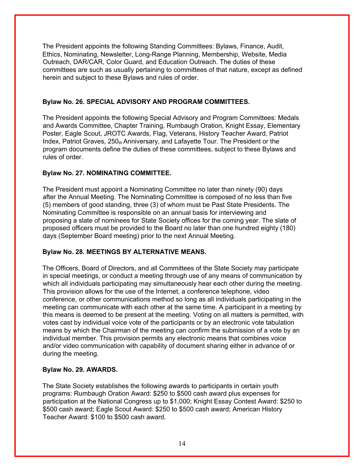The President appoints the following Standing Committees: Bylaws, Finance, Audit, Ethics, Nominating, Newsletter, Long-Range Planning, Membership, Website, Media Outreach, DAR/CAR, Color Guard, and Education Outreach. The duties of these committees are such as usually pertaining to committees of that nature, except as defined herein and subject to these Bylaws and rules of order.

### **Bylaw No. 26. SPECIAL ADVISORY AND PROGRAM COMMITTEES.**

The President appoints the following Special Advisory and Program Committees: Medals and Awards Committee, Chapter Training, Rumbaugh Oration, Knight Essay, Elementary Poster, Eagle Scout, JROTC Awards, Flag, Veterans, History Teacher Award, Patriot Index, Patriot Graves,  $250<sub>th</sub>$  Anniversary, and Lafayette Tour. The President or the program documents define the duties of these committees, subject to these Bylaws and rules of order.

### **Bylaw No. 27. NOMINATING COMMITTEE.**

The President must appoint a Nominating Committee no later than ninety (90) days after the Annual Meeting. The Nominating Committee is composed of no less than five (5) members of good standing, three (3) of whom must be Past State Presidents. The Nominating Committee is responsible on an annual basis for interviewing and proposing a slate of nominees for State Society offices for the coming year. The slate of proposed officers must be provided to the Board no later than one hundred eighty (180) days (September Board meeting) prior to the next Annual Meeting.

### **Bylaw No. 28. MEETINGS BY ALTERNATIVE MEANS.**

The Officers, Board of Directors, and all Committees of the State Society may participate in special meetings, or conduct a meeting through use of any means of communication by which all individuals participating may simultaneously hear each other during the meeting. This provision allows for the use of the Internet, a conference telephone, video conference, or other communications method so long as all individuals participating in the meeting can communicate with each other at the same time. A participant in a meeting by this means is deemed to be present at the meeting. Voting on all matters is permitted, with votes cast by individual voice vote of the participants or by an electronic vote tabulation means by which the Chairman of the meeting can confirm the submission of a vote by an individual member. This provision permits any electronic means that combines voice and/or video communication with capability of document sharing either in advance of or during the meeting.

### **Bylaw No. 29. AWARDS.**

The State Society establishes the following awards to participants in certain youth programs: Rumbaugh Oration Award: \$250 to \$500 cash award plus expenses for participation at the National Congress up to \$1,000; Knight Essay Contest Award: \$250 to \$500 cash award; Eagle Scout Award: \$250 to \$500 cash award; American History Teacher Award: \$100 to \$500 cash award.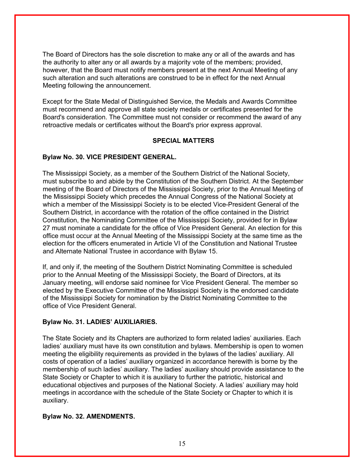The Board of Directors has the sole discretion to make any or all of the awards and has the authority to alter any or all awards by a majority vote of the members; provided, however, that the Board must notify members present at the next Annual Meeting of any such alteration and such alterations are construed to be in effect for the next Annual Meeting following the announcement.

Except for the State Medal of Distinguished Service, the Medals and Awards Committee must recommend and approve all state society medals or certificates presented for the Board's consideration. The Committee must not consider or recommend the award of any retroactive medals or certificates without the Board's prior express approval.

### **SPECIAL MATTERS**

#### **Bylaw No. 30. VICE PRESIDENT GENERAL.**

The Mississippi Society, as a member of the Southern District of the National Society, must subscribe to and abide by the Constitution of the Southern District. At the September meeting of the Board of Directors of the Mississippi Society, prior to the Annual Meeting of the Mississippi Society which precedes the Annual Congress of the National Society at which a member of the Mississippi Society is to be elected Vice-President General of the Southern District, in accordance with the rotation of the office contained in the District Constitution, the Nominating Committee of the Mississippi Society, provided for in Bylaw 27 must nominate a candidate for the office of Vice President General. An election for this office must occur at the Annual Meeting of the Mississippi Society at the same time as the election for the officers enumerated in Article VI of the Constitution and National Trustee and Alternate National Trustee in accordance with Bylaw 15.

If, and only if, the meeting of the Southern District Nominating Committee is scheduled prior to the Annual Meeting of the Mississippi Society, the Board of Directors, at its January meeting, will endorse said nominee for Vice President General. The member so elected by the Executive Committee of the Mississippi Society is the endorsed candidate of the Mississippi Society for nomination by the District Nominating Committee to the office of Vice President General.

#### **Bylaw No. 31. LADIES' AUXILIARIES.**

The State Society and its Chapters are authorized to form related ladies' auxiliaries. Each ladies' auxiliary must have its own constitution and bylaws. Membership is open to women meeting the eligibility requirements as provided in the bylaws of the ladies' auxiliary. All costs of operation of a ladies' auxiliary organized in accordance herewith is borne by the membership of such ladies' auxiliary. The ladies' auxiliary should provide assistance to the State Society or Chapter to which it is auxiliary to further the patriotic, historical and educational objectives and purposes of the National Society. A ladies' auxiliary may hold meetings in accordance with the schedule of the State Society or Chapter to which it is auxiliary.

#### **Bylaw No. 32. AMENDMENTS.**